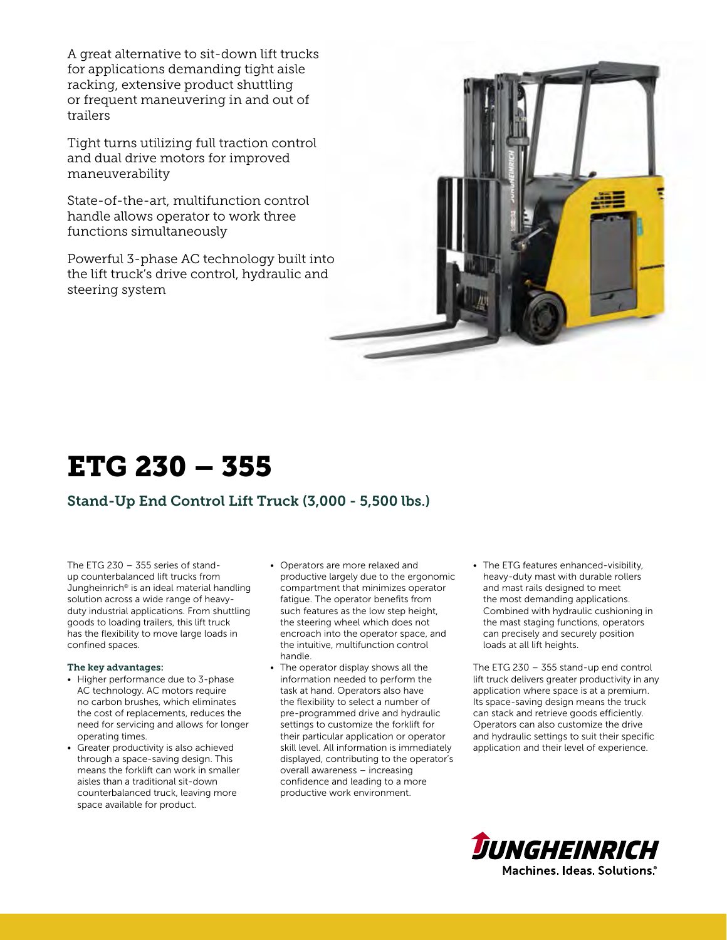A great alternative to sit-down lift trucks for applications demanding tight aisle racking, extensive product shuttling or frequent maneuvering in and out of trailers

Tight turns utilizing full traction control and dual drive motors for improved maneuverability

State-of-the-art, multifunction control handle allows operator to work three functions simultaneously

Powerful 3-phase AC technology built into the lift truck's drive control, hydraulic and steering system



# ETG 230 – 355

# Stand-Up End Control Lift Truck (3,000 - 5,500 lbs.)

The ETG 230 – 355 series of standup counterbalanced lift trucks from Jungheinrich® is an ideal material handling solution across a wide range of heavyduty industrial applications. From shuttling goods to loading trailers, this lift truck has the flexibility to move large loads in confined spaces.

#### The key advantages:

- Higher performance due to 3-phase AC technology. AC motors require no carbon brushes, which eliminates the cost of replacements, reduces the need for servicing and allows for longer operating times.
- Greater productivity is also achieved through a space-saving design. This means the forklift can work in smaller aisles than a traditional sit-down counterbalanced truck, leaving more space available for product.
- Operators are more relaxed and productive largely due to the ergonomic compartment that minimizes operator fatigue. The operator benefits from such features as the low step height, the steering wheel which does not encroach into the operator space, and the intuitive, multifunction control handle.
- The operator display shows all the information needed to perform the task at hand. Operators also have the flexibility to select a number of pre-programmed drive and hydraulic settings to customize the forklift for their particular application or operator skill level. All information is immediately displayed, contributing to the operator's overall awareness – increasing confidence and leading to a more productive work environment.
- The ETG features enhanced-visibility, heavy-duty mast with durable rollers and mast rails designed to meet the most demanding applications. Combined with hydraulic cushioning in the mast staging functions, operators can precisely and securely position loads at all lift heights.

The ETG 230 – 355 stand-up end control lift truck delivers greater productivity in any application where space is at a premium. Its space-saving design means the truck can stack and retrieve goods efficiently. Operators can also customize the drive and hydraulic settings to suit their specific application and their level of experience.

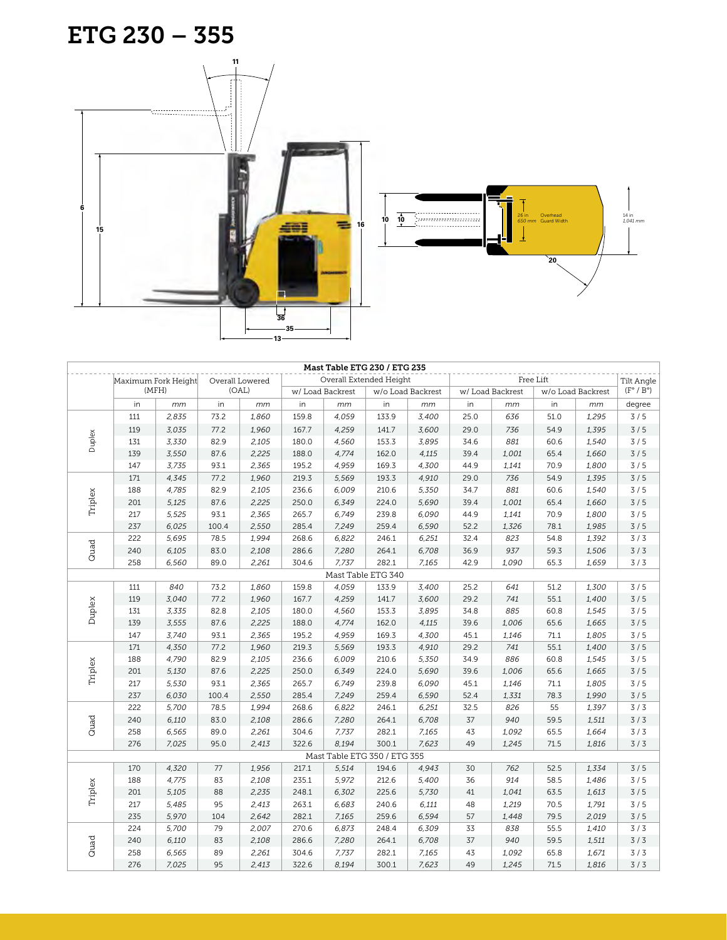





|                    |       |                     |       |                 |       |                 | Mast Table ETG 230 / ETG 235 |                   |      |                                                |                  |                   |        |
|--------------------|-------|---------------------|-------|-----------------|-------|-----------------|------------------------------|-------------------|------|------------------------------------------------|------------------|-------------------|--------|
|                    |       | Maximum Fork Height |       | Overall Lowered |       |                 | Overall Extended Height      |                   |      | <b>Tilt Angle</b><br>$(F^{\circ} / B^{\circ})$ |                  |                   |        |
|                    | (MFH) |                     | (OAL) |                 |       | w/Load Backrest |                              | w/o Load Backrest |      |                                                | w/ Load Backrest | w/o Load Backrest |        |
|                    | in    | mm                  | in    | mm              | in    | mm              | in                           | mm                | in   | mm                                             | in               | mm                | degree |
|                    | 111   | 2,835               | 73.2  | 1,860           | 159.8 | 4,059           | 133.9                        | 3,400             | 25.0 | 636                                            | 51.0             | 1,295             | 3/5    |
|                    | 119   | 3,035               | 77.2  | 1,960           | 167.7 | 4,259           | 141.7                        | 3,600             | 29.0 | 736                                            | 54.9             | 1,395             | 3/5    |
| Duplex             | 131   | 3,330               | 82.9  | 2,105           | 180.0 | 4,560           | 153.3                        | 3,895             | 34.6 | 881                                            | 60.6             | 1,540             | 3/5    |
|                    | 139   | 3,550               | 87.6  | 2,225           | 188.0 | 4,774           | 162.0                        | 4,115             | 39.4 | 1,001                                          | 65.4             | 1,660             | 3/5    |
|                    | 147   | 3,735               | 93.1  | 2,365           | 195.2 | 4,959           | 169.3                        | 4,300             | 44.9 | 1,141                                          | 70.9             | 1,800             | 3/5    |
|                    | 171   | 4,345               | 77.2  | 1,960           | 219.3 | 5,569           | 193.3                        | 4,910             | 29.0 | 736                                            | 54.9             | 1,395             | 3/5    |
|                    | 188   | 4,785               | 82.9  | 2,105           | 236.6 | 6,009           | 210.6                        | 5,350             | 34.7 | 881                                            | 60.6             | 1,540             | 3/5    |
| Triplex            | 201   | 5,125               | 87.6  | 2,225           | 250.0 | 6,349           | 224.0                        | 5,690             | 39.4 | 1,001                                          | 65.4             | 1,660             | 3/5    |
|                    | 217   | 5,525               | 93.1  | 2,365           | 265.7 | 6,749           | 239.8                        | 6,090             | 44.9 | 1,141                                          | 70.9             | 1,800             | 3/5    |
|                    | 237   | 6,025               | 100.4 | 2,550           | 285.4 | 7,249           | 259.4                        | 6,590             | 52.2 | 1,326                                          | 78.1             | 1,985             | 3/5    |
|                    | 222   | 5,695               | 78.5  | 1,994           | 268.6 | 6,822           | 246.1                        | 6,251             | 32.4 | 823                                            | 54.8             | 1,392             | 3/3    |
| Quad               | 240   | 6,105               | 83.0  | 2,108           | 286.6 | 7,280           | 264.1                        | 6,708             | 36.9 | 937                                            | 59.3             | 1,506             | 3/3    |
|                    | 258   | 6,560               | 89.0  | 2,261           | 304.6 | 7,737           | 282.1                        | 7,165             | 42.9 | 1,090                                          | 65.3             | 1,659             | 3/3    |
| Mast Table ETG 340 |       |                     |       |                 |       |                 |                              |                   |      |                                                |                  |                   |        |
|                    | 111   | 840                 | 73.2  | 1,860           | 159.8 | 4,059           | 133.9                        | 3,400             | 25.2 | 641                                            | 51.2             | 1,300             | 3/5    |
|                    | 119   | 3,040               | 77.2  | 1,960           | 167.7 | 4,259           | 141.7                        | 3,600             | 29.2 | 741                                            | 55.1             | 1,400             | 3/5    |
|                    | 131   | 3,335               | 82.8  | 2,105           | 180.0 | 4,560           | 153.3                        | 3,895             | 34.8 | 885                                            | 60.8             | 1,545             | 3/5    |
| Duplex             | 139   | 3,555               | 87.6  | 2,225           | 188.0 | 4,774           | 162.0                        | 4,115             | 39.6 | 1.006                                          | 65.6             | 1,665             | 3/5    |
|                    | 147   | 3,740               | 93.1  | 2,365           | 195.2 | 4,959           | 169.3                        | 4,300             | 45.1 | 1,146                                          | 71.1             | 1,805             | 3/5    |
|                    | 171   | 4,350               | 77.2  | 1,960           | 219.3 | 5,569           | 193.3                        | 4,910             | 29.2 | 741                                            | 55.1             | 1,400             | 3/5    |
|                    | 188   | 4,790               | 82.9  | 2,105           | 236.6 | 6,009           | 210.6                        | 5,350             | 34.9 | 886                                            | 60.8             | 1,545             | 3/5    |
| Triplex            | 201   | 5,130               | 87.6  | 2,225           | 250.0 | 6,349           | 224.0                        | 5,690             | 39.6 | 1,006                                          | 65.6             | 1,665             | 3/5    |
|                    | 217   | 5,530               | 93.1  | 2,365           | 265.7 | 6,749           | 239.8                        | 6,090             | 45.1 | 1,146                                          | 71.1             | 1,805             | 3/5    |
|                    | 237   | 6,030               | 100.4 | 2,550           | 285.4 | 7,249           | 259.4                        | 6,590             | 52.4 | 1,331                                          | 78.3             | 1,990             | 3/5    |
|                    | 222   | 5,700               | 78.5  | 1,994           | 268.6 | 6,822           | 246.1                        | 6,251             | 32.5 | 826                                            | 55               | 1,397             | 3/3    |
|                    | 240   | 6,110               | 83.0  | 2,108           | 286.6 | 7,280           | 264.1                        | 6,708             | 37   | 940                                            | 59.5             | 1,511             | 3/3    |
| Quad               | 258   | 6,565               | 89.0  | 2,261           | 304.6 | 7,737           | 282.1                        | 7,165             | 43   | 1,092                                          | 65.5             | 1,664             | 3/3    |
|                    | 276   | 7,025               | 95.0  | 2,413           | 322.6 | 8,194           | 300.1                        | 7,623             | 49   | 1,245                                          | 71.5             | 1,816             | 3/3    |
|                    |       |                     |       |                 |       |                 | Mast Table ETG 350 / ETG 355 |                   |      |                                                |                  |                   |        |
|                    | 170   | 4,320               | 77    | 1,956           | 217.1 | 5,514           | 194.6                        | 4,943             | 30   | 762                                            | 52.5             | 1,334             | 3/5    |
|                    | 188   | 4,775               | 83    | 2,108           | 235.1 | 5,972           | 212.6                        | 5,400             | 36   | 914                                            | 58.5             | 1,486             | 3/5    |
|                    | 201   | 5,105               | 88    | 2,235           | 248.1 | 6,302           | 225.6                        | 5,730             | 41   | 1,041                                          | 63.5             | 1,613             | 3/5    |
| Triplex            | 217   | 5,485               | 95    | 2,413           | 263.1 | 6,683           | 240.6                        | 6,111             | 48   | 1,219                                          | 70.5             | 1,791             | 3/5    |
|                    | 235   | 5,970               | 104   | 2,642           | 282.1 | 7,165           | 259.6                        | 6,594             | 57   | 1,448                                          | 79.5             | 2,019             | 3/5    |
|                    | 224   | 5,700               | 79    | 2,007           | 270.6 | 6,873           | 248.4                        | 6,309             | 33   | 838                                            | 55.5             | 1,410             | 3/3    |
|                    | 240   | 6,110               | 83    | 2,108           | 286.6 | 7,280           | 264.1                        | 6,708             | 37   | 940                                            | 59.5             | 1,511             | 3/3    |
| Quad               | 258   | 6,565               | 89    | 2,261           | 304.6 | 7,737           | 282.1                        | 7,165             | 43   | 1,092                                          | 65.8             | 1,671             | 3/3    |
|                    | 276   | 7,025               | 95    | 2,413           | 322.6 | 8,194           | 300.1                        | 7,623             | 49   | 1,245                                          | 71.5             | 1,816             | 3/3    |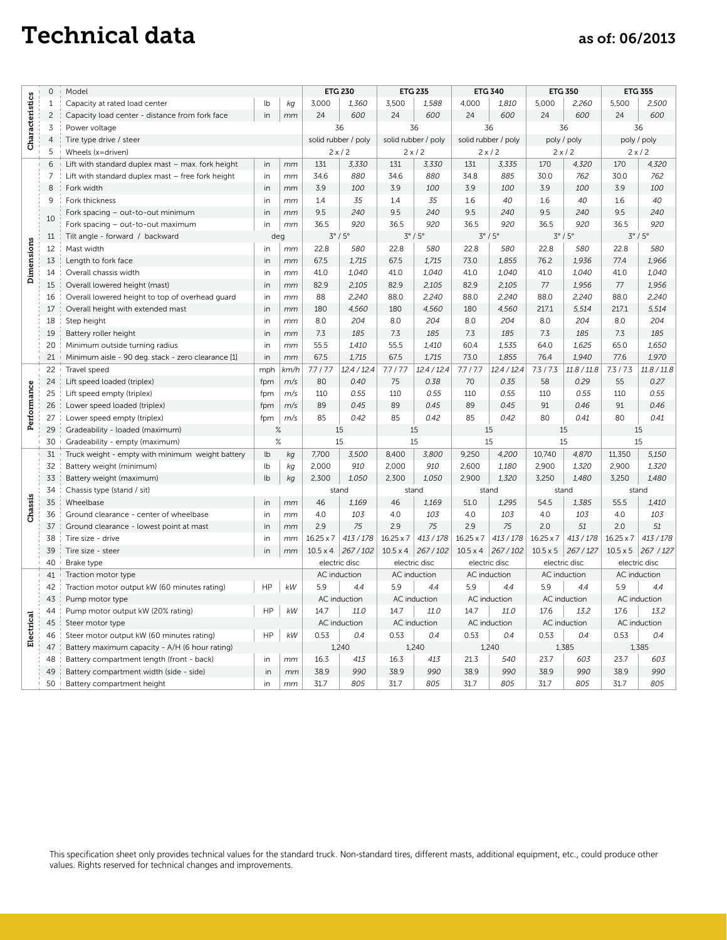# Technical data as of: 06/2013

|                 |                |                                                    |          |               |                     | <b>ETG 230</b><br><b>ETG 235</b> |                     |                         | <b>ETG 340</b>      |                         |                  | <b>ETG 350</b>    |                  | <b>ETG 355</b>    |  |
|-----------------|----------------|----------------------------------------------------|----------|---------------|---------------------|----------------------------------|---------------------|-------------------------|---------------------|-------------------------|------------------|-------------------|------------------|-------------------|--|
| Characteristics | $\mathbf 0$    | Model                                              |          |               |                     |                                  |                     |                         |                     |                         |                  |                   |                  |                   |  |
|                 | 1              | Capacity at rated load center                      | lb<br>in | kg            | 3,000               | 1,360                            | 3,500               | 1.588                   | 4.000               | 1.810                   | 5.000            | 2,260             | 5,500            | 2,500             |  |
|                 | $\overline{c}$ | Capacity load center - distance from fork face     |          | mm            | 24                  | 600                              | 24                  | 600                     | 24                  | 600                     | 24               | 600               | 24               | 600               |  |
|                 | 3              | Power voltage                                      |          |               | 36                  |                                  | 36                  |                         | 36                  |                         | 36               |                   | 36               |                   |  |
|                 | $\overline{4}$ | Tire type drive / steer                            |          |               | solid rubber / poly |                                  | solid rubber / poly |                         | solid rubber / poly |                         | poly / poly      |                   | poly / poly      |                   |  |
|                 | 5              | Wheels (x=driven)                                  | in       |               | $2 \times 2$        |                                  | 2x/2                |                         | $2 \times 2$        |                         | 2x/2             |                   | $2 \times 12$    |                   |  |
|                 | 6              | Lift with standard duplex mast - max. fork height  |          | mm            | 131                 | 3,330                            | 131                 | 3,330                   | 131                 | 3,335                   | 170              | 4,320             | 170              | 4,320             |  |
|                 | $\overline{7}$ | Lift with standard duplex mast - free fork height  |          | mm            | 34.6                | 880                              | 34.6                | 880                     | 34.8                | 885                     | 30.0             | 762               | 30.0             | 762               |  |
|                 | 8              | Fork width                                         |          | mm            | 3.9                 | 100                              | 3.9                 | 100                     | 3.9                 | 100                     | 3.9              | 100               | 3.9              | 100               |  |
|                 | 9              | Fork thickness                                     | in       | mm            | 1.4                 | 35                               | 1.4                 | 35                      | 1.6                 | 40                      | 1.6              | 40                | 1.6              | 40                |  |
|                 | 10             | Fork spacing - out-to-out minimum                  | in       | mm            | 9.5                 | 240                              | 9.5                 | 240                     | 9.5                 | 240                     | 9.5              | 240               | 9.5              | 240               |  |
|                 |                | Fork spacing - out-to-out maximum                  | in       | mm            | 36.5                | 920                              | 36.5                | 920                     | 36.5                | 920                     | 36.5             | 920               | 36.5             | 920               |  |
|                 | 11             | Tilt angle - forward / backward                    |          | deg<br>in     |                     | $3^\circ/5^\circ$                |                     | $3^\circ/5^\circ$       |                     | $3^\circ/5^\circ$       |                  | $3^\circ/5^\circ$ |                  | $3^\circ/5^\circ$ |  |
| Dimensions      | 12             | Mast width                                         |          | mm            | 22.8                | 580                              | 22.8                | 580                     | 22.8                | 580                     | 22.8             | 580               | 22.8             | 580               |  |
|                 | 13             | Length to fork face                                | in       | mm            | 67.5                | 1,715                            | 67.5                | 1,715                   | 73.0                | 1,855                   | 76.2             | 1.936             | 77.4             | 1,966             |  |
|                 | 14             | Overall chassis width                              | in       | mm            | 41.0                | 1,040                            | 41.0                | 1.040                   | 41.0                | 1.040                   | 41.0             | 1.040             | 41.0             | 1.040             |  |
|                 | 15             | Overall lowered height (mast)                      | in       | mm            | 82.9                | 2,105                            | 82.9                | 2.105                   | 82.9                | 2.105                   | 77               | 1.956             | 77               | 1.956             |  |
|                 | 16             | Overall lowered height to top of overhead guard    | in       | mm            | 88                  | 2,240                            | 88.0                | 2,240                   | 88.0                | 2,240                   | 88.0             | 2,240             | 88.0             | 2,240             |  |
|                 | 17             | Overall height with extended mast                  | in       | mm            | 180                 | 4,560                            | 180                 | 4.560                   | 180                 | 4,560                   | 217.1            | 5,514             | 217.1            | 5,514             |  |
|                 | 18             | Step height                                        | in       | mm            | 8.0                 | 204                              | 8.0                 | 204                     | 8.0                 | 204                     | 8.0              | 204               | 8.0              | 204               |  |
|                 | 19             | Battery roller height                              | in       | mm            | 7.3                 | 185                              | 7.3                 | 185                     | 7.3                 | 185                     | 7.3              | 185               | 7.3              | 185               |  |
|                 | 20             | Minimum outside turning radius                     | in       | mm            | 55.5                | 1,410                            | 55.5                | 1,410                   | 60.4                | 1,535                   | 64.0             | 1.625             | 65.0             | 1,650             |  |
|                 | 21             | Minimum aisle - 90 deg. stack - zero clearance [1] | in       | mm            | 67.5                | 1.715                            | 67.5                | 1.715                   | 73.0                | 1.855                   | 76.4             | 1.940             | 77.6             | 1.970             |  |
| Performance     | 22             | Travel speed                                       | mph      | km/h          | 7.7 / 7.7           | 12.4 / 12.4                      | 7.7/7.7             | 12.4 / 12.4             | 7.7/7.7             | 12.4 / 12.4             | 7.3/7.3          | 11.8 / 11.8       | 7.3/7.3          | 11.8 / 11.8       |  |
|                 | 24             | Lift speed loaded (triplex)                        | fpm      | m/s           | 80                  | 0.40                             | 75                  | 0.38                    | 70                  | 0.35                    | 58               | 0.29              | 55               | 0.27              |  |
|                 | 25             | Lift speed empty (triplex)                         | fpm      | m/s           | 110                 | 0.55                             | 110                 | 0.55                    | 110                 | 0.55                    | 110              | 0.55              | 110              | 0.55              |  |
|                 | 26             | Lower speed loaded (triplex)                       | fpm      | m/s           | 89                  | 0.45                             | 89                  | 0.45                    | 89                  | 0.45                    | 91               | 0.46              | 91               | 0.46              |  |
|                 | 27             | Lower speed empty (triplex)                        | fpm      | m/s           | 85                  | 0.42                             | 85                  | 0.42                    | 85                  | 0.42                    | 80               | 0.41              | 80               | 0.41              |  |
|                 | 29             | Gradeability - loaded (maximum)                    |          | $\%$          |                     | 15                               |                     | 15                      |                     | 15                      |                  | 15                |                  | 15                |  |
|                 | 30             | Gradeability - empty (maximum)                     |          | $\frac{9}{6}$ |                     | 15                               |                     | 15                      |                     | 15                      |                  | 15                |                  | 15                |  |
|                 | 31             | Truck weight - empty with minimum weight battery   | lb       | kg            | 7,700               | 3,500                            | 8,400               | 3,800                   | 9,250               | 4,200                   | 10,740           | 4,870             | 11,350           | 5,150             |  |
|                 | 32             | Battery weight (minimum)                           | lb       | kg            | 2,000               | 910                              | 2,000               | 910                     | 2,600               | 1,180                   | 2,900            | 1,320             | 2,900            | 1,320             |  |
|                 | 33             | Battery weight (maximum)                           | lb       | kg            | 2,300               | 1,050                            | 2,300               | 1,050                   | 2,900               | 1,320                   | 3,250            | 1,480             | 3,250            | 1,480             |  |
|                 | 34             | Chassis type (stand / sit)                         |          |               | stand               |                                  | stand               |                         | stand               |                         | stand            |                   | stand            |                   |  |
| Chassis         | 35             | Wheelbase                                          | in       | mm            | 46                  | 1,169                            | 46                  | 1,169                   | 51.0                | 1,295                   | 54.5             | 1,385             | 55.5             | 1,410             |  |
|                 | 36             | Ground clearance - center of wheelbase             | in       | mm            | 4.0                 | 103                              | 4.0                 | 103                     | 4.0                 | 103                     | 4.0              | 103               | 4.0              | 103               |  |
|                 | 37             | Ground clearance - lowest point at mast            | in       | mm            | 2.9                 | 75                               | 2.9                 | 75                      | 2.9                 | 75                      | 2.0              | 51                | 2.0              | 51                |  |
|                 | 38             | Tire size - drive                                  | in       | mm            | $16.25 \times 7$    | 413/178                          | $16.25 \times 7$    | 413/178                 | $16.25 \times 7$    | 413/178                 | $16.25 \times 7$ | 413/178           | $16.25 \times 7$ | 413/178           |  |
|                 | 39             | Tire size - steer                                  | in       | mm            | $10.5 \times 4$     | 267/102                          |                     | $10.5 \times 4$ 267/102 |                     | $10.5 \times 4$ 267/102 | $10.5 \times 5$  | 267/127           | $10.5 \times 5$  | 267/127           |  |
|                 | 40             | Brake type                                         |          |               | electric disc       |                                  | electric disc       |                         | electric disc       |                         | electric disc    |                   | electric disc    |                   |  |
|                 | 41             | Traction motor type                                |          |               |                     | AC induction                     |                     | AC induction            |                     | AC induction            |                  | AC induction      |                  | AC induction      |  |
| Electrical      | 42             | Traction motor output kW (60 minutes rating)       | HP       | kW            | 5.9                 | 4.4                              | 5.9                 | 4.4                     | 5.9                 | 4.4                     | 5.9              | 4.4               | 5.9              | 4.4               |  |
|                 | 43             | Pump motor type                                    |          |               |                     | AC induction                     |                     | AC induction            |                     | AC induction            |                  | AC induction      |                  | AC induction      |  |
|                 | 44             | Pump motor output kW (20% rating)                  |          | kW            | 14.7                | 11.0                             | 14.7                | 11.0                    | 14.7                | 11.0                    | 17.6             | 13.2              | 17.6             | 13.2              |  |
|                 | 45             | Steer motor type                                   |          |               |                     | AC induction                     |                     | AC induction            |                     | AC induction            |                  | AC induction      |                  | AC induction      |  |
|                 | 46             | Steer motor output kW (60 minutes rating)          |          | kW            | 0.53<br>0.4         |                                  | 0.53<br>0.4         |                         | 0.53<br>0.4         |                         | 0.53<br>0.4      |                   | 0.53<br>0.4      |                   |  |
|                 | 47             | Battery maximum capacity - A/H (6 hour rating)     |          |               | 1,240               |                                  | 1,240               |                         | 1,240               |                         | 1,385            |                   | 1,385            |                   |  |
|                 | 48             | Battery compartment length (front - back)          |          | mm            | 16.3                | 413                              | 16.3                | 413                     | 21.3                | 540                     | 23.7             | 603               | 23.7             | 603               |  |
|                 | 49             | Battery compartment width (side - side)            | in       | mm            | 38.9                | 990                              | 38.9                | 990                     | 38.9                | 990                     | 38.9             | 990               | 38.9             | 990               |  |
|                 | 50             | Battery compartment height                         | in       | mm            | 31.7                | 805                              | 31.7                | 805                     | 31.7                | 805                     | 31.7             | 805               | 31.7             | 805               |  |

This specification sheet only provides technical values for the standard truck. Non-standard tires, different masts, additional equipment, etc., could produce other values. Rights reserved for technical changes and improvements.